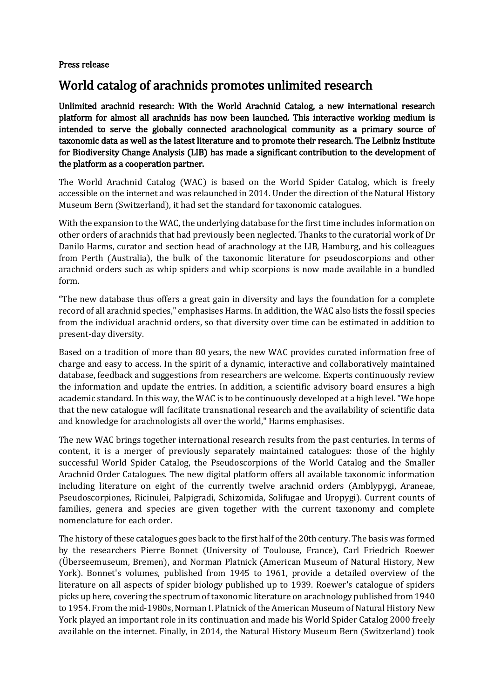## Press release

## World catalog of arachnids promotes unlimited research

Unlimited arachnid research: With the World Arachnid Catalog, a new international research platform for almost all arachnids has now been launched. This interactive working medium is intended to serve the globally connected arachnological community as a primary source of taxonomic data as well as the latest literature and to promote their research. The Leibniz Institute for Biodiversity Change Analysis (LIB) has made a significant contribution to the development of the platform as a cooperation partner.

The World Arachnid Catalog (WAC) is based on the World Spider Catalog, which is freely accessible on the internet and was relaunched in 2014. Under the direction of the Natural History Museum Bern (Switzerland), it had set the standard for taxonomic catalogues.

With the expansion to the WAC, the underlying database for the first time includes information on other orders of arachnids that had previously been neglected. Thanks to the curatorial work of Dr Danilo Harms, curator and section head of arachnology at the LIB, Hamburg, and his colleagues from Perth (Australia), the bulk of the taxonomic literature for pseudoscorpions and other arachnid orders such as whip spiders and whip scorpions is now made available in a bundled form.

"The new database thus offers a great gain in diversity and lays the foundation for a complete record of all arachnid species," emphasises Harms. In addition, the WAC also lists the fossil species from the individual arachnid orders, so that diversity over time can be estimated in addition to present-day diversity.

Based on a tradition of more than 80 years, the new WAC provides curated information free of charge and easy to access. In the spirit of a dynamic, interactive and collaboratively maintained database, feedback and suggestions from researchers are welcome. Experts continuously review the information and update the entries. In addition, a scientific advisory board ensures a high academic standard. In this way, the WAC is to be continuously developed at a high level. "We hope that the new catalogue will facilitate transnational research and the availability of scientific data and knowledge for arachnologists all over the world," Harms emphasises.

The new WAC brings together international research results from the past centuries. In terms of content, it is a merger of previously separately maintained catalogues: those of the highly successful World Spider Catalog, the Pseudoscorpions of the World Catalog and the Smaller Arachnid Order Catalogues. The new digital platform offers all available taxonomic information including literature on eight of the currently twelve arachnid orders (Amblypygi, Araneae, Pseudoscorpiones, Ricinulei, Palpigradi, Schizomida, Solifugae and Uropygi). Current counts of families, genera and species are given together with the current taxonomy and complete nomenclature for each order.

The history of these catalogues goes back to the first half of the 20th century. The basis was formed by the researchers Pierre Bonnet (University of Toulouse, France), Carl Friedrich Roewer (Überseemuseum, Bremen), and Norman Platnick (American Museum of Natural History, New York). Bonnet's volumes, published from 1945 to 1961, provide a detailed overview of the literature on all aspects of spider biology published up to 1939. Roewer's catalogue of spiders picks up here, covering the spectrum of taxonomic literature on arachnology published from 1940 to 1954. From the mid-1980s, Norman I. Platnick of the American Museum of Natural History New York played an important role in its continuation and made his World Spider Catalog 2000 freely available on the internet. Finally, in 2014, the Natural History Museum Bern (Switzerland) took